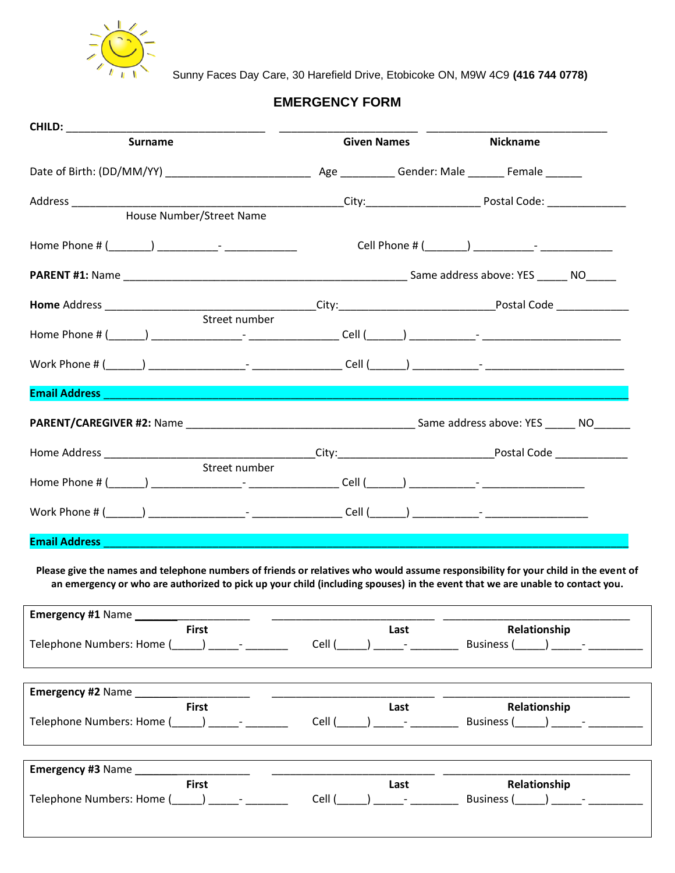

Sunny Faces Day Care, 30 Harefield Drive, Etobicoke ON, M9W 4C9 **(416 744 0778)**

## **EMERGENCY FORM**

| <b>Surname</b>                                                                                                                                                                                                                                                     |                 | <b>Given Names</b>                                                    | <b>Nickname</b>                          |  |
|--------------------------------------------------------------------------------------------------------------------------------------------------------------------------------------------------------------------------------------------------------------------|-----------------|-----------------------------------------------------------------------|------------------------------------------|--|
|                                                                                                                                                                                                                                                                    |                 |                                                                       |                                          |  |
|                                                                                                                                                                                                                                                                    |                 |                                                                       |                                          |  |
| House Number/Street Name                                                                                                                                                                                                                                           |                 |                                                                       |                                          |  |
|                                                                                                                                                                                                                                                                    |                 |                                                                       |                                          |  |
|                                                                                                                                                                                                                                                                    |                 |                                                                       |                                          |  |
|                                                                                                                                                                                                                                                                    |                 |                                                                       |                                          |  |
|                                                                                                                                                                                                                                                                    |                 |                                                                       |                                          |  |
|                                                                                                                                                                                                                                                                    |                 |                                                                       |                                          |  |
| <b>Email Address and Contract Contract Contract Contract Contract Contract Contract Contract Contract Contract Co</b>                                                                                                                                              |                 |                                                                       |                                          |  |
|                                                                                                                                                                                                                                                                    |                 |                                                                       |                                          |  |
|                                                                                                                                                                                                                                                                    |                 |                                                                       |                                          |  |
| Street number                                                                                                                                                                                                                                                      |                 |                                                                       |                                          |  |
|                                                                                                                                                                                                                                                                    |                 |                                                                       |                                          |  |
| Email Address <b>Experiment Contract Contract Contract Contract Contract Contract Contract Contract Contract Contract Contract Contract Contract Contract Contract Contract Contract Contract Contract Contract Contract Contrac</b>                               |                 |                                                                       |                                          |  |
|                                                                                                                                                                                                                                                                    |                 |                                                                       |                                          |  |
| Please give the names and telephone numbers of friends or relatives who would assume responsibility for your child in the event of<br>an emergency or who are authorized to pick up your child (including spouses) in the event that we are unable to contact you. |                 |                                                                       |                                          |  |
|                                                                                                                                                                                                                                                                    |                 |                                                                       |                                          |  |
| <b>First</b>                                                                                                                                                                                                                                                       | Cell (          | Last<br><b>Contractor</b>                                             | Relationship<br><b>Business</b> (        |  |
|                                                                                                                                                                                                                                                                    |                 |                                                                       |                                          |  |
| <b>First</b>                                                                                                                                                                                                                                                       |                 | Last                                                                  |                                          |  |
| $\overline{\phantom{a}}$                                                                                                                                                                                                                                           | Cell (College ) | $\begin{array}{ccc} \n\end{array}$ $\begin{array}{ccc} \n\end{array}$ | Relationship<br>Business $($ $)$ $)$ $-$ |  |
| <b>Emergency #1 Name</b><br>Telephone Numbers: Home (<br>Emergency #2 Name<br>Telephone Numbers: Home (<br><b>Emergency #3 Name</b><br><b>First</b>                                                                                                                |                 | Last                                                                  | Relationship                             |  |